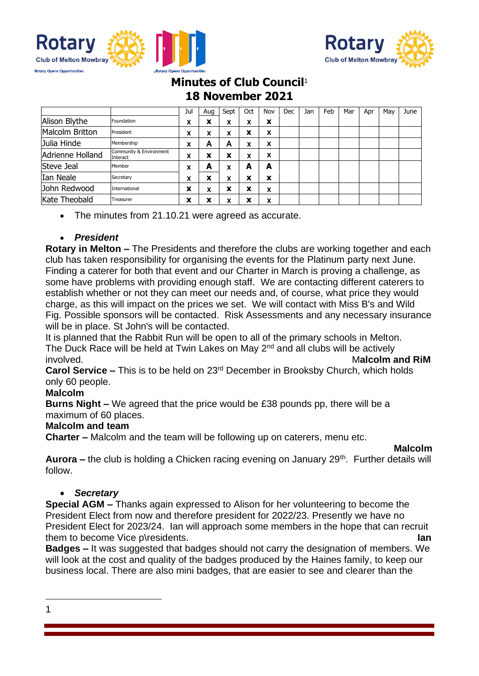



# **Minutes of Club Council**<sup>1</sup> **18 November 2021**

|                  |                                     | Jul    | Aua              | Sept   | Oct | Nov | Dec | Jan | Feb | Mar | Apr | Mav | June |
|------------------|-------------------------------------|--------|------------------|--------|-----|-----|-----|-----|-----|-----|-----|-----|------|
| Alison Blythe    | Foundation                          | x      | v<br>$\ddot{\,}$ | x      | x   | x   |     |     |     |     |     |     |      |
| Malcolm Britton  | President                           | x      | x                | x      | x   | X   |     |     |     |     |     |     |      |
| Julia Hinde      | Membership                          | x      | А                | A      | x   | X   |     |     |     |     |     |     |      |
| Adrienne Holland | Community & Environment<br>Interact | x      | x                | X      | x   | X   |     |     |     |     |     |     |      |
| Steve Jeal       | Member                              | x      | А                | x      | А   | A   |     |     |     |     |     |     |      |
| Ian Neale        | Secretary                           | x      | x                | x      | X   | x   |     |     |     |     |     |     |      |
| John Redwood     | International                       | X      | X                | x      | X   | X   |     |     |     |     |     |     |      |
| Kate Theobald    | Treasurer                           | v<br>^ | ́                | v<br>л | х   | X   |     |     |     |     |     |     |      |

• The minutes from 21.10.21 were agreed as accurate.

## • *President*

**Rotary in Melton –** The Presidents and therefore the clubs are working together and each club has taken responsibility for organising the events for the Platinum party next June. Finding a caterer for both that event and our Charter in March is proving a challenge, as some have problems with providing enough staff. We are contacting different caterers to establish whether or not they can meet our needs and, of course, what price they would charge, as this will impact on the prices we set. We will contact with Miss B's and Wild Fig. Possible sponsors will be contacted. Risk Assessments and any necessary insurance will be in place. St John's will be contacted.

It is planned that the Rabbit Run will be open to all of the primary schools in Melton. The Duck Race will be held at Twin Lakes on May 2<sup>nd</sup> and all clubs will be actively involved. M**alcolm and RiM**

**Carol Service –** This is to be held on 23rd December in Brooksby Church, which holds only 60 people.

## **Malcolm**

**Burns Night –** We agreed that the price would be £38 pounds pp, there will be a maximum of 60 places.

#### **Malcolm and team**

**Charter –** Malcolm and the team will be following up on caterers, menu etc.

**Malcolm**

**Aurora** – the club is holding a Chicken racing evening on January 29<sup>th</sup>. Further details will follow.

## • *Secretary*

**Special AGM –** Thanks again expressed to Alison for her volunteering to become the President Elect from now and therefore president for 2022/23. Presently we have no President Elect for 2023/24. Ian will approach some members in the hope that can recruit them to become Vice p\residents. **Ian**

**Badges –** It was suggested that badges should not carry the designation of members. We will look at the cost and quality of the badges produced by the Haines family, to keep our business local. There are also mini badges, that are easier to see and clearer than the

1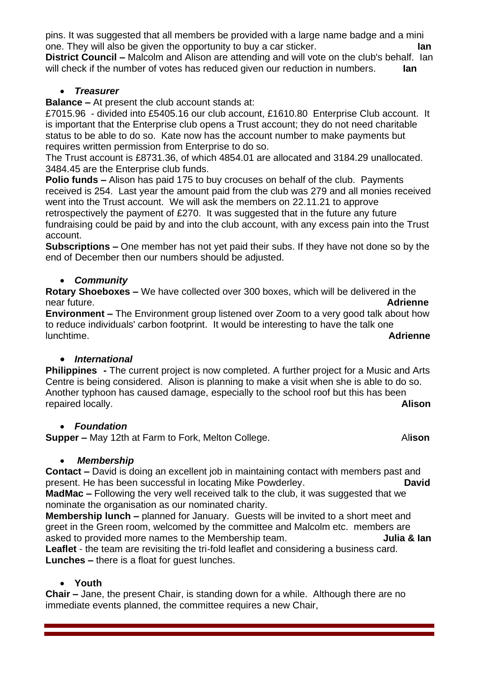pins. It was suggested that all members be provided with a large name badge and a mini one. They will also be given the opportunity to buy a car sticker. **Ian**

**District Council –** Malcolm and Alison are attending and will vote on the club's behalf. Ian will check if the number of votes has reduced given our reduction in numbers. **Ian** 

## • *Treasurer*

**Balance –** At present the club account stands at:

£7015.96 - divided into £5405.16 our club account, £1610.80 Enterprise Club account. It is important that the Enterprise club opens a Trust account; they do not need charitable status to be able to do so. Kate now has the account number to make payments but requires written permission from Enterprise to do so.

The Trust account is £8731.36, of which 4854.01 are allocated and 3184.29 unallocated. 3484.45 are the Enterprise club funds.

**Polio funds –** Alison has paid 175 to buy crocuses on behalf of the club. Payments received is 254. Last year the amount paid from the club was 279 and all monies received went into the Trust account. We will ask the members on 22.11.21 to approve retrospectively the payment of £270. It was suggested that in the future any future fundraising could be paid by and into the club account, with any excess pain into the Trust account.

**Subscriptions –** One member has not yet paid their subs. If they have not done so by the end of December then our numbers should be adjusted.

## • *Community*

**Rotary Shoeboxes –** We have collected over 300 boxes, which will be delivered in the near future. **Adrienne**

**Environment –** The Environment group listened over Zoom to a very good talk about how to reduce individuals' carbon footprint. It would be interesting to have the talk one lunchtime. **Adrienne**

## • *International*

**Philippines -** The current project is now completed. A further project for a Music and Arts Centre is being considered. Alison is planning to make a visit when she is able to do so. Another typhoon has caused damage, especially to the school roof but this has been repaired locally. **Alison**

## • *Foundation*

**Supper –** May 12th at Farm to Fork, Melton College. **Alison** 

## • *Membership*

**Contact –** David is doing an excellent job in maintaining contact with members past and present. He has been successful in locating Mike Powderley. **David**

**MadMac –** Following the very well received talk to the club, it was suggested that we nominate the organisation as our nominated charity.

**Membership lunch –** planned for January. Guests will be invited to a short meet and greet in the Green room, welcomed by the committee and Malcolm etc. members are asked to provided more names to the Membership team. **Julia & Ian Leaflet** - the team are revisiting the tri-fold leaflet and considering a business card.

**Lunches –** there is a float for guest lunches.

## • **Youth**

**Chair –** Jane, the present Chair, is standing down for a while. Although there are no immediate events planned, the committee requires a new Chair,